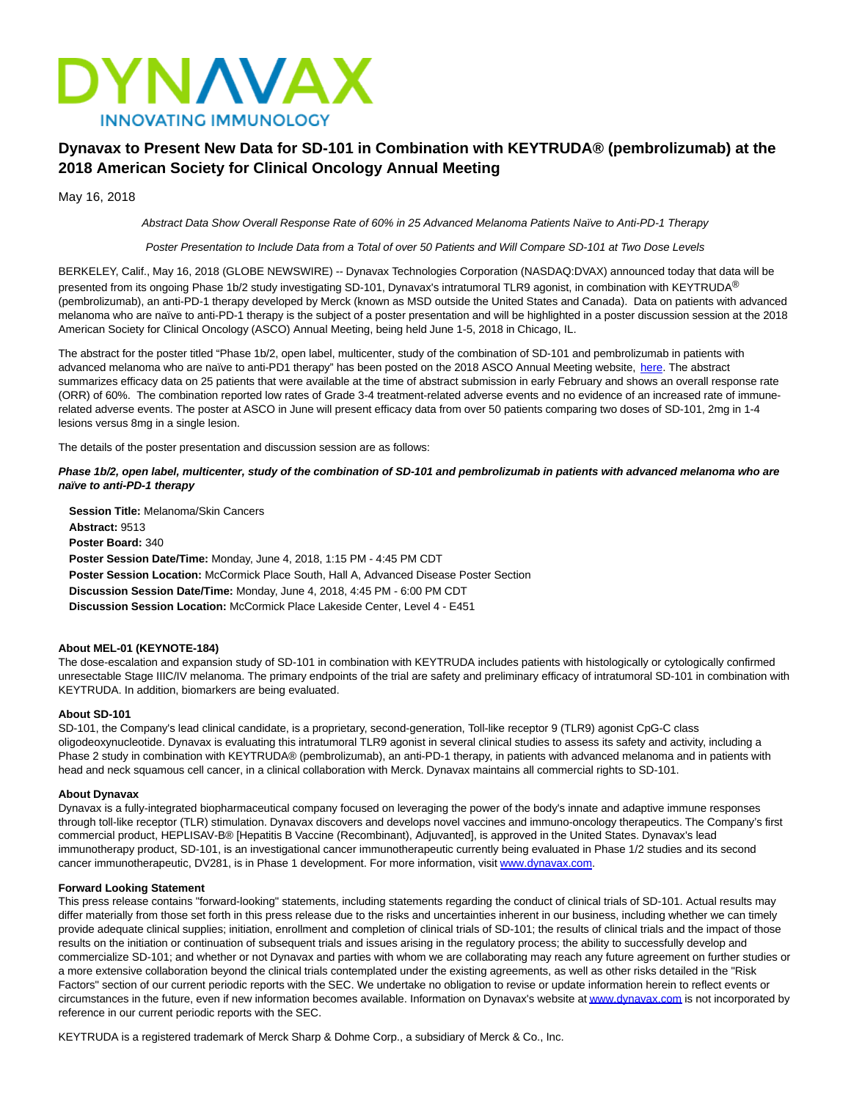

# **Dynavax to Present New Data for SD-101 in Combination with KEYTRUDA® (pembrolizumab) at the 2018 American Society for Clinical Oncology Annual Meeting**

May 16, 2018

Abstract Data Show Overall Response Rate of 60% in 25 Advanced Melanoma Patients Naïve to Anti-PD-1 Therapy

Poster Presentation to Include Data from a Total of over 50 Patients and Will Compare SD-101 at Two Dose Levels

BERKELEY, Calif., May 16, 2018 (GLOBE NEWSWIRE) -- Dynavax Technologies Corporation (NASDAQ:DVAX) announced today that data will be presented from its ongoing Phase 1b/2 study investigating SD-101, Dynavax's intratumoral TLR9 agonist, in combination with KEYTRUDA® (pembrolizumab), an anti-PD-1 therapy developed by Merck (known as MSD outside the United States and Canada). Data on patients with advanced melanoma who are naïve to anti-PD-1 therapy is the subject of a poster presentation and will be highlighted in a poster discussion session at the 2018 American Society for Clinical Oncology (ASCO) Annual Meeting, being held June 1-5, 2018 in Chicago, IL.

The abstract for the poster titled "Phase 1b/2, open label, multicenter, study of the combination of SD-101 and pembrolizumab in patients with advanced melanoma who are naïve to anti-PD1 therapy" has been posted on the 2018 ASCO Annual Meeting website, [here.](https://meetinglibrary.asco.org/) The abstract summarizes efficacy data on 25 patients that were available at the time of abstract submission in early February and shows an overall response rate (ORR) of 60%. The combination reported low rates of Grade 3-4 treatment-related adverse events and no evidence of an increased rate of immunerelated adverse events. The poster at ASCO in June will present efficacy data from over 50 patients comparing two doses of SD-101, 2mg in 1-4 lesions versus 8mg in a single lesion.

The details of the poster presentation and discussion session are as follows:

### **Phase 1b/2, open label, multicenter, study of the combination of SD-101 and pembrolizumab in patients with advanced melanoma who are naïve to anti-PD-1 therapy**

**Session Title:** Melanoma/Skin Cancers **Abstract:** 9513 **Poster Board:** 340 **Poster Session Date/Time:** Monday, June 4, 2018, 1:15 PM - 4:45 PM CDT **Poster Session Location:** McCormick Place South, Hall A, Advanced Disease Poster Section **Discussion Session Date/Time:** Monday, June 4, 2018, 4:45 PM - 6:00 PM CDT **Discussion Session Location:** McCormick Place Lakeside Center, Level 4 - E451

## **About MEL-01 (KEYNOTE-184)**

The dose-escalation and expansion study of SD-101 in combination with KEYTRUDA includes patients with histologically or cytologically confirmed unresectable Stage IIIC/IV melanoma. The primary endpoints of the trial are safety and preliminary efficacy of intratumoral SD-101 in combination with KEYTRUDA. In addition, biomarkers are being evaluated.

#### **About SD-101**

SD-101, the Company's lead clinical candidate, is a proprietary, second-generation, Toll-like receptor 9 (TLR9) agonist CpG-C class oligodeoxynucleotide. Dynavax is evaluating this intratumoral TLR9 agonist in several clinical studies to assess its safety and activity, including a Phase 2 study in combination with KEYTRUDA® (pembrolizumab), an anti-PD-1 therapy, in patients with advanced melanoma and in patients with head and neck squamous cell cancer, in a clinical collaboration with Merck. Dynavax maintains all commercial rights to SD-101.

#### **About Dynavax**

Dynavax is a fully-integrated biopharmaceutical company focused on leveraging the power of the body's innate and adaptive immune responses through toll-like receptor (TLR) stimulation. Dynavax discovers and develops novel vaccines and immuno-oncology therapeutics. The Company's first commercial product, HEPLISAV-B® [Hepatitis B Vaccine (Recombinant), Adjuvanted], is approved in the United States. Dynavax's lead immunotherapy product, SD-101, is an investigational cancer immunotherapeutic currently being evaluated in Phase 1/2 studies and its second cancer immunotherapeutic, DV281, is in Phase 1 development. For more information, visit [www.dynavax.com.](http://www.dynavax.com/)

#### **Forward Looking Statement**

This press release contains "forward-looking" statements, including statements regarding the conduct of clinical trials of SD-101. Actual results may differ materially from those set forth in this press release due to the risks and uncertainties inherent in our business, including whether we can timely provide adequate clinical supplies; initiation, enrollment and completion of clinical trials of SD-101; the results of clinical trials and the impact of those results on the initiation or continuation of subsequent trials and issues arising in the regulatory process; the ability to successfully develop and commercialize SD-101; and whether or not Dynavax and parties with whom we are collaborating may reach any future agreement on further studies or a more extensive collaboration beyond the clinical trials contemplated under the existing agreements, as well as other risks detailed in the "Risk Factors" section of our current periodic reports with the SEC. We undertake no obligation to revise or update information herein to reflect events or circumstances in the future, even if new information becomes available. Information on Dynavax's website a[t www.dynavax.com i](http://www.dynavax.com/)s not incorporated by reference in our current periodic reports with the SEC.

KEYTRUDA is a registered trademark of Merck Sharp & Dohme Corp., a subsidiary of Merck & Co., Inc.